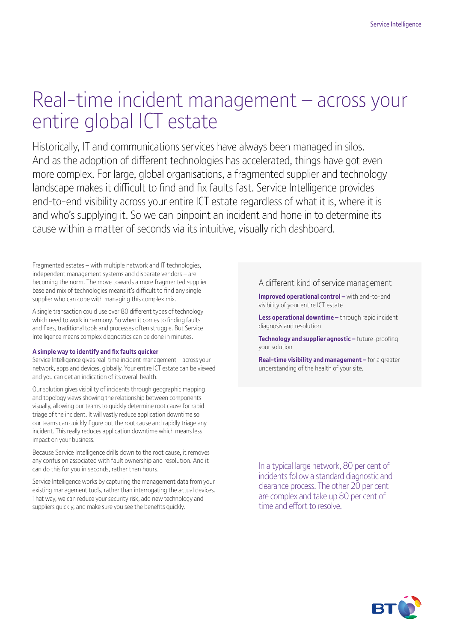# Real-time incident management – across your entire global ICT estate

Historically, IT and communications services have always been managed in silos. And as the adoption of different technologies has accelerated, things have got even more complex. For large, global organisations, a fragmented supplier and technology landscape makes it difficult to find and fix faults fast. Service Intelligence provides end-to-end visibility across your entire ICT estate regardless of what it is, where it is and who's supplying it. So we can pinpoint an incident and hone in to determine its cause within a matter of seconds via its intuitive, visually rich dashboard.

Fragmented estates – with multiple network and IT technologies, independent management systems and disparate vendors – are becoming the norm. The move towards a more fragmented supplier base and mix of technologies means it's difficult to find any single supplier who can cope with managing this complex mix.

A single transaction could use over 80 different types of technology which need to work in harmony. So when it comes to finding faults and fixes, traditional tools and processes often struggle. But Service Intelligence means complex diagnostics can be done in minutes.

#### **A simple way to identify and fix faults quicker**

Service Intelligence gives real-time incident management – across your network, apps and devices, globally. Your entire ICT estate can be viewed and you can get an indication of its overall health.

Our solution gives visibility of incidents through geographic mapping and topology views showing the relationship between components visually, allowing our teams to quickly determine root cause for rapid triage of the incident. It will vastly reduce application downtime so our teams can quickly figure out the root cause and rapidly triage any incident. This really reduces application downtime which means less impact on your business.

Because Service Intelligence drills down to the root cause, it removes any confusion associated with fault ownership and resolution. And it can do this for you in seconds, rather than hours.

Service Intelligence works by capturing the management data from your existing management tools, rather than interrogating the actual devices. That way, we can reduce your security risk, add new technology and suppliers quickly, and make sure you see the benefits quickly.

#### A different kind of service management

**Improved operational control –** with end-to-end visibility of your entire ICT estate

**Less operational downtime –** through rapid incident diagnosis and resolution

**Technology and supplier agnostic –** future-proofing your solution

**Real-time visibility and management –** for a greater understanding of the health of your site.

In a typical large network, 80 per cent of incidents follow a standard diagnostic and clearance process. The other 20 per cent are complex and take up 80 per cent of time and effort to resolve.